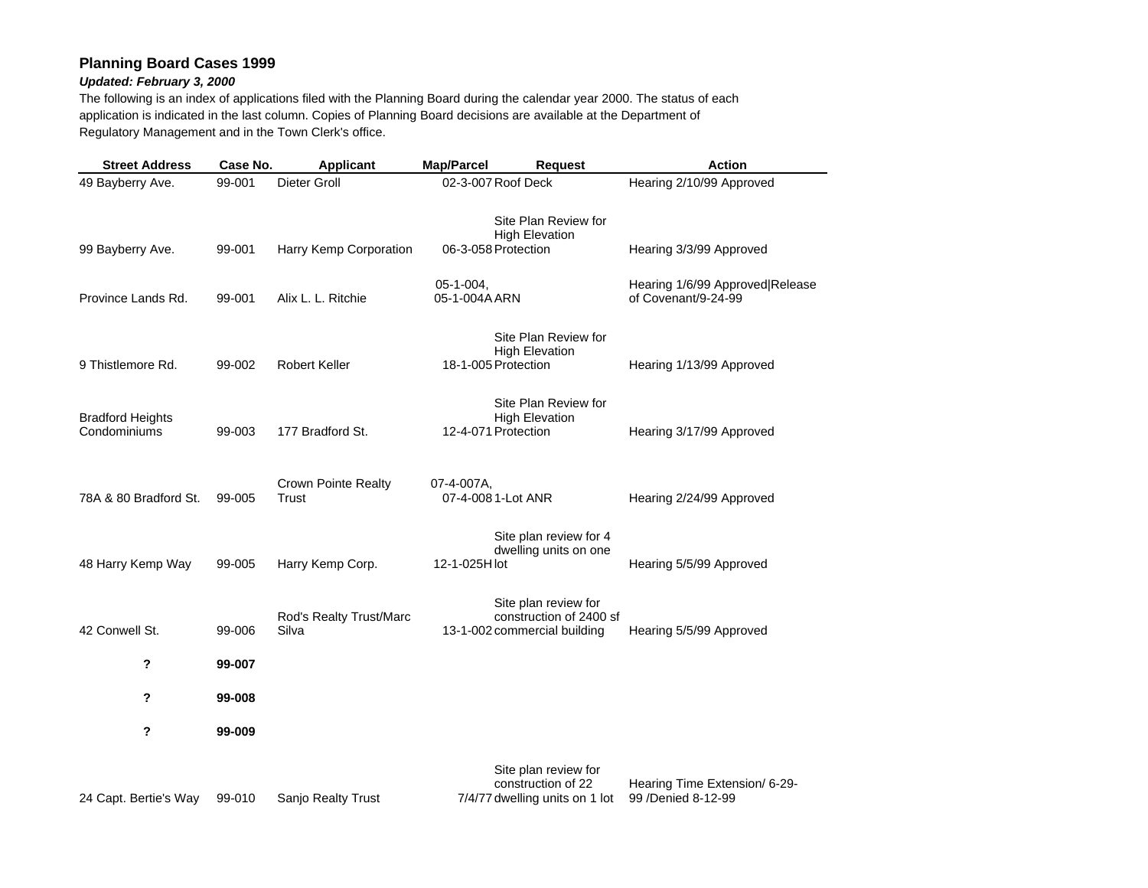## **Planning Board Cases 1999**

## *Updated: February 3, 2000*

The following is an index of applications filed with the Planning Board during the calendar year 2000. The status of each application is indicated in the last column. Copies of Planning Board decisions are available at the Department of Regulatory Management and in the Town Clerk's office.

| <b>Street Address</b>                   | Case No. | Applicant                           | Map/Parcel                       | <b>Request</b>                                                                  | <b>Action</b>                                          |
|-----------------------------------------|----------|-------------------------------------|----------------------------------|---------------------------------------------------------------------------------|--------------------------------------------------------|
| 49 Bayberry Ave.                        | 99-001   | Dieter Groll                        | 02-3-007 Roof Deck               |                                                                                 | Hearing 2/10/99 Approved                               |
| 99 Bayberry Ave.                        | 99-001   | Harry Kemp Corporation              | 06-3-058 Protection              | Site Plan Review for<br><b>High Elevation</b>                                   | Hearing 3/3/99 Approved                                |
| Province Lands Rd.                      | 99-001   | Alix L. L. Ritchie                  | 05-1-004,<br>05-1-004A ARN       |                                                                                 | Hearing 1/6/99 Approved Release<br>of Covenant/9-24-99 |
| 9 Thistlemore Rd.                       | 99-002   | <b>Robert Keller</b>                | 18-1-005 Protection              | Site Plan Review for<br><b>High Elevation</b>                                   | Hearing 1/13/99 Approved                               |
| <b>Bradford Heights</b><br>Condominiums | 99-003   | 177 Bradford St.                    | 12-4-071 Protection              | Site Plan Review for<br><b>High Elevation</b>                                   | Hearing 3/17/99 Approved                               |
| 78A & 80 Bradford St.                   | 99-005   | <b>Crown Pointe Realty</b><br>Trust | 07-4-007A,<br>07-4-008 1-Lot ANR |                                                                                 | Hearing 2/24/99 Approved                               |
| 48 Harry Kemp Way                       | 99-005   | Harry Kemp Corp.                    | 12-1-025H lot                    | Site plan review for 4<br>dwelling units on one                                 | Hearing 5/5/99 Approved                                |
| 42 Conwell St.                          | 99-006   | Rod's Realty Trust/Marc<br>Silva    |                                  | Site plan review for<br>construction of 2400 sf<br>13-1-002 commercial building | Hearing 5/5/99 Approved                                |
| ?                                       | 99-007   |                                     |                                  |                                                                                 |                                                        |
| ?                                       | 99-008   |                                     |                                  |                                                                                 |                                                        |
| ?                                       | 99-009   |                                     |                                  |                                                                                 |                                                        |
| 24 Capt. Bertie's Way                   | 99-010   | Sanjo Realty Trust                  |                                  | Site plan review for<br>construction of 22<br>7/4/77 dwelling units on 1 lot    | Hearing Time Extension/ 6-29-<br>99 /Denied 8-12-99    |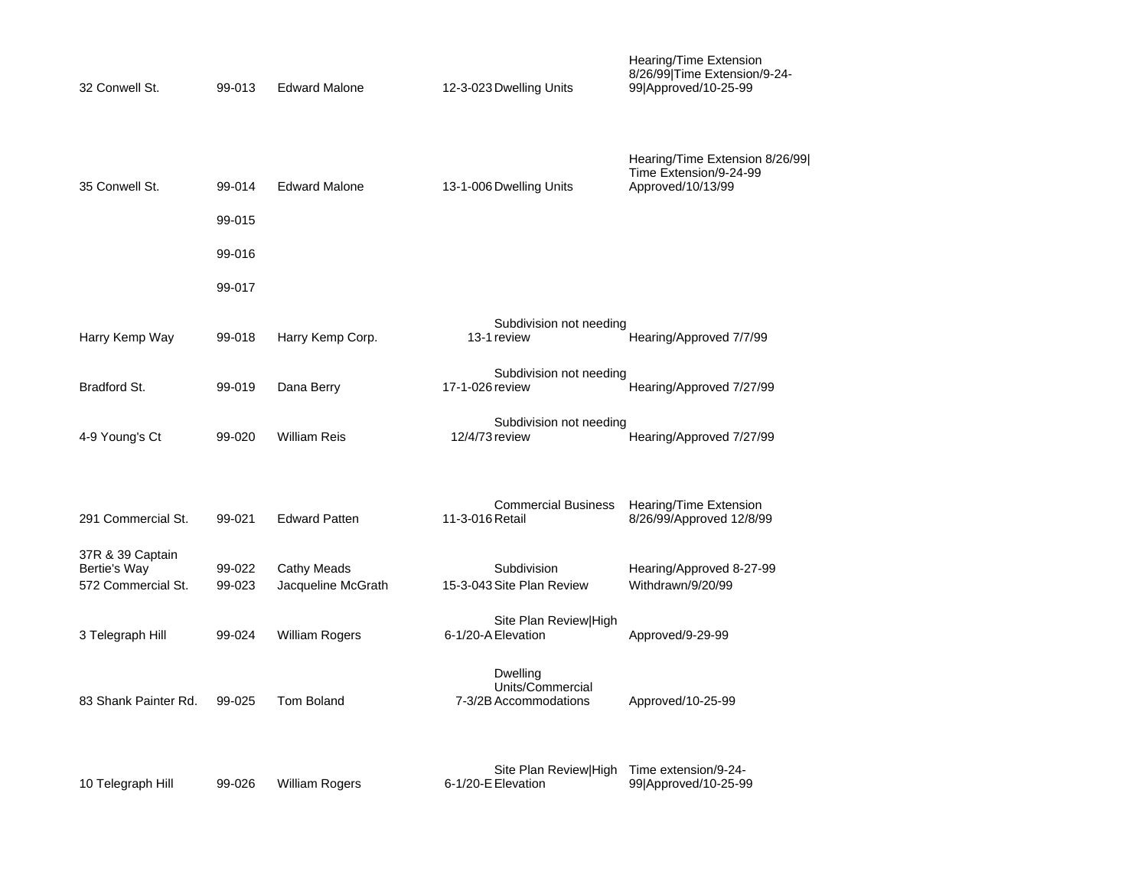| 32 Conwell St.                                         | 99-013           | <b>Edward Malone</b>              | 12-3-023 Dwelling Units                               | Hearing/Time Extension<br>8/26/99 Time Extension/9-24-<br>99 Approved/10-25-99 |
|--------------------------------------------------------|------------------|-----------------------------------|-------------------------------------------------------|--------------------------------------------------------------------------------|
| 35 Conwell St.                                         | 99-014           | <b>Edward Malone</b>              | 13-1-006 Dwelling Units                               | Hearing/Time Extension 8/26/99 <br>Time Extension/9-24-99<br>Approved/10/13/99 |
|                                                        | 99-015           |                                   |                                                       |                                                                                |
|                                                        | 99-016           |                                   |                                                       |                                                                                |
|                                                        | 99-017           |                                   |                                                       |                                                                                |
| Harry Kemp Way                                         | 99-018           | Harry Kemp Corp.                  | Subdivision not needing<br>13-1 review                | Hearing/Approved 7/7/99                                                        |
| Bradford St.                                           | 99-019           | Dana Berry                        | Subdivision not needing<br>17-1-026 review            | Hearing/Approved 7/27/99                                                       |
| 4-9 Young's Ct                                         | 99-020           | William Reis                      | Subdivision not needing<br>12/4/73 review             | Hearing/Approved 7/27/99                                                       |
| 291 Commercial St.                                     | 99-021           | <b>Edward Patten</b>              | <b>Commercial Business</b><br>11-3-016 Retail         | Hearing/Time Extension<br>8/26/99/Approved 12/8/99                             |
| 37R & 39 Captain<br>Bertie's Way<br>572 Commercial St. | 99-022<br>99-023 | Cathy Meads<br>Jacqueline McGrath | Subdivision<br>15-3-043 Site Plan Review              | Hearing/Approved 8-27-99<br>Withdrawn/9/20/99                                  |
| 3 Telegraph Hill                                       | 99-024           | <b>William Rogers</b>             | Site Plan Review High<br>6-1/20-A Elevation           | Approved/9-29-99                                                               |
| 83 Shank Painter Rd.                                   | 99-025           | <b>Tom Boland</b>                 | Dwelling<br>Units/Commercial<br>7-3/2B Accommodations | Approved/10-25-99                                                              |
| 10 Telegraph Hill                                      | 99-026           | <b>William Rogers</b>             | Site Plan Review High<br>6-1/20-E Elevation           | Time extension/9-24-<br>99 Approved/10-25-99                                   |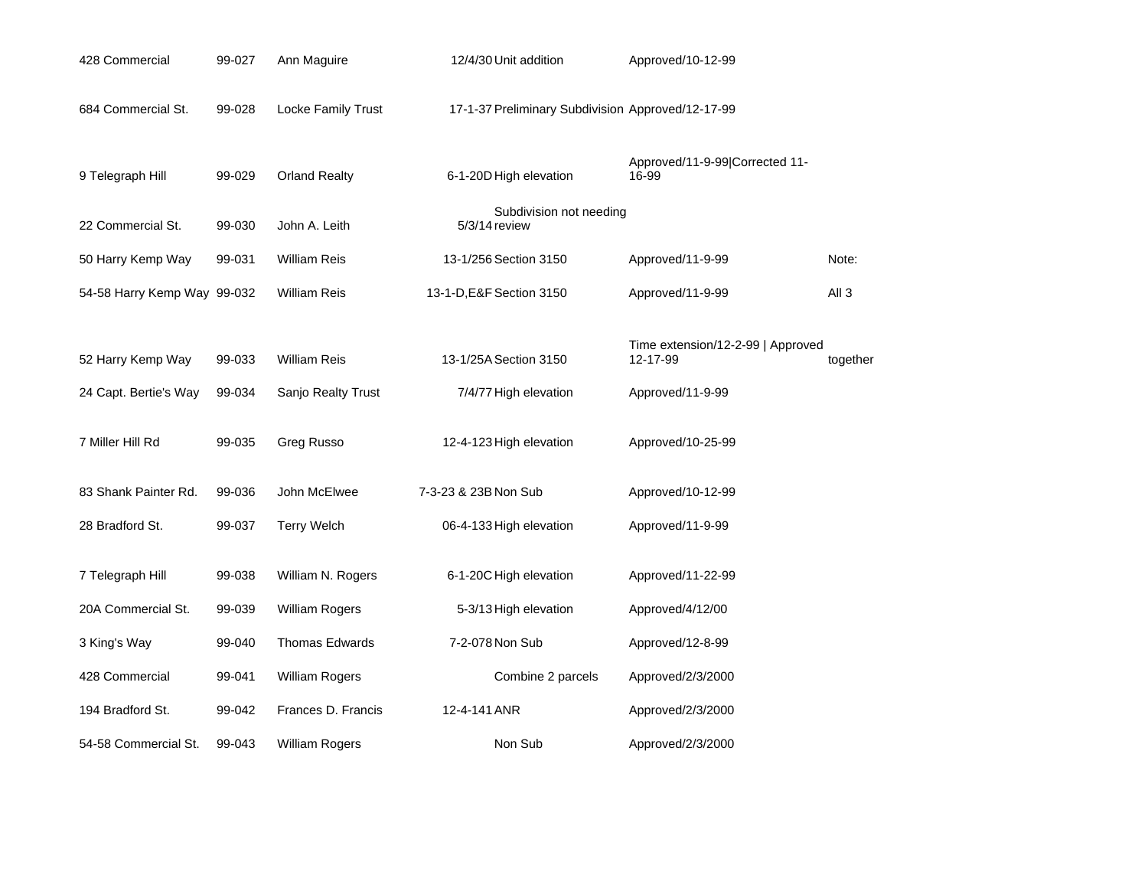| 428 Commercial              | 99-027 | Ann Maguire           | 12/4/30 Unit addition                             | Approved/10-12-99                       |                  |
|-----------------------------|--------|-----------------------|---------------------------------------------------|-----------------------------------------|------------------|
| 684 Commercial St.          | 99-028 | Locke Family Trust    | 17-1-37 Preliminary Subdivision Approved/12-17-99 |                                         |                  |
| 9 Telegraph Hill            | 99-029 | <b>Orland Realty</b>  | 6-1-20D High elevation                            | Approved/11-9-99 Corrected 11-<br>16-99 |                  |
| 22 Commercial St.           | 99-030 | John A. Leith         | Subdivision not needing<br>5/3/14 review          |                                         |                  |
| 50 Harry Kemp Way           | 99-031 | <b>William Reis</b>   | 13-1/256 Section 3150                             | Approved/11-9-99                        | Note:            |
| 54-58 Harry Kemp Way 99-032 |        | <b>William Reis</b>   | 13-1-D, E&F Section 3150                          | Approved/11-9-99                        | All <sub>3</sub> |
|                             |        |                       |                                                   | Time extension/12-2-99   Approved       |                  |
| 52 Harry Kemp Way           | 99-033 | <b>William Reis</b>   | 13-1/25A Section 3150                             | 12-17-99                                | together         |
| 24 Capt. Bertie's Way       | 99-034 | Sanjo Realty Trust    | 7/4/77 High elevation                             | Approved/11-9-99                        |                  |
| 7 Miller Hill Rd            | 99-035 | Greg Russo            | 12-4-123 High elevation                           | Approved/10-25-99                       |                  |
| 83 Shank Painter Rd.        | 99-036 | John McElwee          | 7-3-23 & 23B Non Sub                              | Approved/10-12-99                       |                  |
| 28 Bradford St.             | 99-037 | <b>Terry Welch</b>    | 06-4-133 High elevation                           | Approved/11-9-99                        |                  |
| 7 Telegraph Hill            | 99-038 | William N. Rogers     | 6-1-20C High elevation                            | Approved/11-22-99                       |                  |
| 20A Commercial St.          | 99-039 | William Rogers        | 5-3/13 High elevation                             | Approved/4/12/00                        |                  |
| 3 King's Way                | 99-040 | Thomas Edwards        | 7-2-078 Non Sub                                   | Approved/12-8-99                        |                  |
| 428 Commercial              | 99-041 | <b>William Rogers</b> | Combine 2 parcels                                 | Approved/2/3/2000                       |                  |
| 194 Bradford St.            | 99-042 | Frances D. Francis    | 12-4-141 ANR                                      | Approved/2/3/2000                       |                  |
| 54-58 Commercial St.        | 99-043 | William Rogers        | Non Sub                                           | Approved/2/3/2000                       |                  |